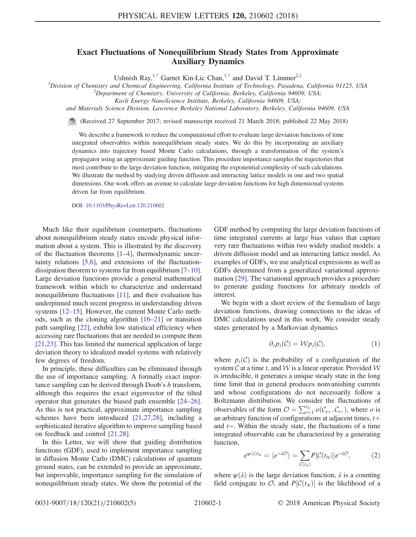## Exact Fluctuations of Nonequilibrium Steady States from Approximate Auxiliary Dynamics

Ushnish Ray,<sup>1[,\\*](#page-4-0)</sup> Garnet Kin-Lic Chan,<sup>1,[†](#page-4-1)</sup> and David T. Limmer<sup>2,[‡](#page-4-2)</sup>

<span id="page-0-0"></span><sup>1</sup>Division of Chemistry and Chemical Engineering, California Institute of Technology, Pasadena, California 91125, USA  $\frac{2 \text{Densityant}}{\text{Densityant}}$  of Chemistry University of California Barkeley, California 04600, USA

 ${}^{2}$ Department of Chemistry, University of California, Berkeley, California 94609, USA;

Kavli Energy NanoScience Institute, Berkeley, California 94609, USA;

and Materials Science Division, Lawrence Berkeley National Laboratory, Berkeley, California 94609, USA

(Received 27 September 2017; revised manuscript received 21 March 2018; published 22 May 2018)

We describe a framework to reduce the computational effort to evaluate large deviation functions of time integrated observables within nonequilibrium steady states. We do this by incorporating an auxiliary dynamics into trajectory based Monte Carlo calculations, through a transformation of the system's propagator using an approximate guiding function. This procedure importance samples the trajectories that most contribute to the large deviation function, mitigating the exponential complexity of such calculations. We illustrate the method by studying driven diffusion and interacting lattice models in one and two spatial dimensions. Our work offers an avenue to calculate large deviation functions for high dimensional systems driven far from equilibrium.

DOI: [10.1103/PhysRevLett.120.210602](https://doi.org/10.1103/PhysRevLett.120.210602)

Much like their equilibrium counterparts, fluctuations about nonequilibrium steady states encode physical information about a system. This is illustrated by the discovery of the fluctuation theorems [1–[4\],](#page-4-3) thermodynamic uncertainty relations [\[5,6\]](#page-4-4), and extensions of the fluctuationdissipation theorem to systems far from equilibrium [7–[10\]](#page-4-5). Large deviation functions provide a general mathematical framework within which to characterize and understand nonequilibrium fluctuations [\[11\]](#page-4-6), and their evaluation has underpinned much recent progress in understanding driven systems [12–[15\].](#page-4-7) However, the current Monte Carlo methods, such as the cloning algorithm [\[16](#page-4-8)–21] or transition path sampling [\[22\],](#page-4-9) exhibit low statistical efficiency when accessing rare fluctuations that are needed to compute them [\[21,23\]](#page-4-10). This has limited the numerical application of large deviation theory to idealized model systems with relatively few degrees of freedom.

In principle, these difficulties can be eliminated through the use of importance sampling. A formally exact importance sampling can be derived through Doob's h transform, although this requires the exact eigenvector of the tilted operator that generates the biased path ensemble [\[24](#page-4-11)–26]. As this is not practical, approximate importance sampling schemes have been introduced [\[21,27,28\]](#page-4-10), including a sophisticated iterative algorithm to improve sampling based on feedback and control [\[21,28\]](#page-4-10).

In this Letter, we will show that guiding distribution functions (GDF), used to implement importance sampling in diffusion Monte Carlo (DMC) calculations of quantum ground states, can be extended to provide an approximate, but improvable, importance sampling for the simulation of nonequilibrium steady states. We show the potential of the GDF method by computing the large deviation functions of time integrated currents at large bias values that capture very rare fluctuations within two widely studied models: a driven diffusion model and an interacting lattice model. As examples of GDFs, we use analytical expressions as well as GDFs determined from a generalized variational approximation [\[29\]](#page-4-12). The variational approach provides a procedure to generate guiding functions for arbitrary models of interest.

We begin with a short review of the formalism of large deviation functions, drawing connections to the ideas of DMC calculations used in this work. We consider steady states generated by a Markovian dynamics

$$
\partial_t p_t(\mathcal{C}) = \mathcal{W} p_t(\mathcal{C}), \tag{1}
$$

where  $p_t(\mathcal{C})$  is the probability of a configuration of the system  $\mathcal C$  at a time t, and  $\mathcal W$  is a linear operator. Provided  $\mathcal W$ is irreducible, it generates a unique steady state in the long time limit that in general produces nonvanishing currents and whose configurations do not necessarily follow a Boltzmann distribution. We consider the fluctuations of observables of the form  $\mathcal{O} = \sum_{t=1}^{t_N} o(C_{t+}, C_{t-})$ , where *o* is<br>an arbitrary function of configurations at adjacent times  $t+$ an arbitrary function of configurations at adjacent times,  $t$  + and t−. Within the steady state, the fluctuations of a time integrated observable can be characterized by a generating function,

$$
e^{\psi(\lambda)t_N} = \langle e^{-\lambda \mathcal{O}} \rangle = \sum_{\mathcal{C}(t_N)} P[\mathcal{C}(t_N)] e^{-\lambda \mathcal{O}}, \tag{2}
$$

where  $\psi(\lambda)$  is the large deviation function,  $\lambda$  is a counting field conjugate to  $O$ , and  $P[C(t_N)]$  is the likelihood of a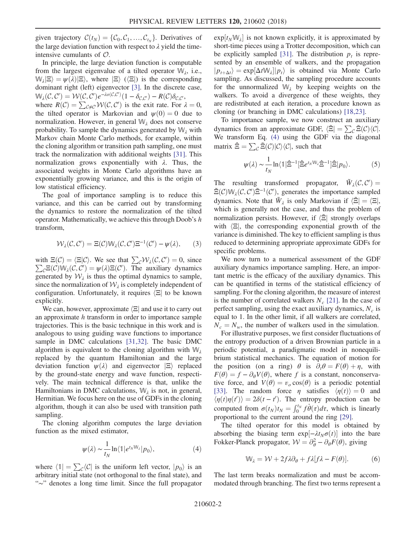given trajectory  $\mathcal{C}(t_N) = \{C_0, C_1, ..., C_{t_N}\}.$  Derivatives of the large deviation function with respect to  $\lambda$  yield the timeintensive cumulants of  $\mathcal{O}$ .

In principle, the large deviation function is computable from the largest eigenvalue of a tilted operator  $W_{\lambda}$ , i.e.,  $W_{\lambda}|\Xi\rangle = \psi(\lambda)|\Xi\rangle$ , where  $|\Xi\rangle$  ( $\langle \Xi|\rangle$ ) is the corresponding dominant right (left) eigenvector [\[3\].](#page-4-13) In the discrete case,  $\mathbb{W}_{\lambda}(\mathcal{C}, \mathcal{C}') = \mathcal{W}(\mathcal{C}, \mathcal{C}')e^{-\lambda o(\mathcal{C}, \mathcal{C}')} (1 - \delta_{\mathcal{C}, \mathcal{C}'}) - R(\mathcal{C}) \delta_{\mathcal{C}, \mathcal{C}'},$ <br>where  $R(\mathcal{C}) = \sum_{\mathcal{C} \in \mathcal{C}} \mathcal{W}(\mathcal{C}, \mathcal{C}')$  is the exit rate. For where  $R(C) = \sum_{c \neq c'} W(C, C')$  is the exit rate. For  $\lambda = 0$ ,<br>the tilted operator is Markovian and  $w(0) = 0$  due to the tilted operator is Markovian and  $\psi(0) = 0$  due to normalization. However, in general  $W_{\lambda}$  does not conserve probability. To sample the dynamics generated by  $W_{\lambda}$  with Markov chain Monte Carlo methods, for example, within the cloning algorithm or transition path sampling, one must track the normalization with additional weights [\[31\].](#page-4-14) This normalization grows exponentially with  $λ$ . Thus, the associated weights in Monte Carlo algorithms have an exponentially growing variance, and this is the origin of low statistical efficiency.

The goal of importance sampling is to reduce this variance, and this can be carried out by transforming the dynamics to restore the normalization of the tilted operator. Mathematically, we achieve this through Doob's h transform,

$$
\mathcal{W}_{\lambda}(\mathcal{C}, \mathcal{C}') = \Xi(\mathcal{C}) \mathbb{W}_{\lambda}(\mathcal{C}, \mathcal{C}') \Xi^{-1}(\mathcal{C}') - \psi(\lambda), \qquad (3)
$$

with  $\Xi(C) = \langle \Xi | C \rangle$ . We see that  $\sum_{C} W_{\lambda}(C, C') = 0$ , since  $\sum_{C} \Xi(C)W_{\lambda}(C, C') = u(\lambda) \Xi(C')$ . The auxiliary dynamics  $\sum_{\mathcal{C}} \mathcal{E}(\mathcal{C}) \hat{\mathbb{W}}_{\lambda}(\mathcal{C}, \mathcal{C}') = \psi(\lambda) \mathcal{E}(\mathcal{C}').$  The auxiliary dynamics openerated by  $\mathcal{W}_{\lambda}$  is thus the optimal dynamics to sample generated by  $\mathcal{W}_\lambda$  is thus the optimal dynamics to sample, since the normalization of  $\mathcal{W}_{\lambda}$  is completely independent of configuration. Unfortunately, it requires  $\langle \Xi |$  to be known explicitly.

We can, however, approximate  $\vert \Xi \vert$  and use it to carry out an approximate h transform in order to importance sample trajectories. This is the basic technique in this work and is analogous to using guiding wave functions to importance sample in DMC calculations [\[31,32\].](#page-4-14) The basic DMC algorithm is equivalent to the cloning algorithm with  $W_{\lambda}$ replaced by the quantum Hamiltonian and the large deviation function  $\psi(\lambda)$  and eigenvector  $\ket{\Xi}$  replaced by the ground-state energy and wave function, respectively. The main technical difference is that, unlike the Hamiltonians in DMC calculations,  $W_{\lambda}$  is not, in general, Hermitian. We focus here on the use of GDFs in the cloning algorithm, though it can also be used with transition path sampling.

<span id="page-1-0"></span>The cloning algorithm computes the large deviation function as the mixed estimator,

$$
\psi(\lambda) \sim \frac{1}{t_N} \ln \langle \mathbb{1} | e^{t_N \mathbb{W}_{\lambda}} | p_0 \rangle, \tag{4}
$$

where  $\langle 1| = \sum_{\mathcal{C}} \langle \mathcal{C}|$  is the uniform left vector,  $|p_0\rangle$  is an arbitrary initial state (not orthogonal to the final state), and "∼" denotes a long time limit. Since the full propagator

 $exp[i_N \mathbb{W}_\lambda]$  is not known explicitly, it is approximated by short-time pieces using a Trotter decomposition, which can short-time pieces using a Trotter decomposition, which can be explicitly sampled [\[31\].](#page-4-14) The distribution  $p_t$  is represented by an ensemble of walkers, and the propagation  $|p_{t+\Delta t}\rangle = \exp[\Delta t \mathbb{W}_{\lambda}] |p_t\rangle$  is obtained via Monte Carlo<br>sampling As discussed the sampling procedure accounts sampling. As discussed, the sampling procedure accounts for the unnormalized  $W_{\lambda}$  by keeping weights on the walkers. To avoid a divergence of these weights, they are redistributed at each iteration, a procedure known as cloning (or branching in DMC calculations) [\[18,23\].](#page-4-15)

To importance sample, we now construct an auxiliary dynamics from an approximate GDF,  $\langle \tilde{\Xi} | = \sum_{\mathcal{C}} \tilde{\Xi}(\mathcal{C}) \langle \mathcal{C} |$ . We transform Eq. [\(4\)](#page-1-0) using the GDF via the diagonal matrix  $\hat{\Xi} = \sum_{\mathcal{C}} \tilde{\Xi}(\mathcal{C})|\mathcal{C}\rangle\langle\mathcal{C}|$ , such that

$$
\psi(\lambda) \sim \frac{1}{t_N} \ln \langle \mathbb{1} | \hat{\Xi}^{-1} [\hat{\Xi} e^{t_N \mathbb{W}_{\lambda}} \hat{\Xi}^{-1}] \hat{\Xi} | p_0 \rangle. \tag{5}
$$

The resulting transformed propagator,  $\tilde{W}_\lambda(\mathcal{C}, \mathcal{C}') =$  $\tilde{\Xi}(C) \mathbb{W}_{\lambda}(C, C') \tilde{\Xi}^{-1}(C')$ , generates the importance sampled<br>dynamics. Note that  $\tilde{W}_{\lambda}$  is only Markovian if  $\tilde{\Xi}(-\Xi)$ dynamics. Note that  $\tilde{W}_\lambda$  is only Markovian if  $\langle \tilde{\Xi} | = \langle \Xi |, \rangle$ which is generally not the case, and thus the problem of normalization persists. However, if  $\langle \tilde{\Xi} |$  strongly overlaps with  $\vert \Xi \vert$ , the corresponding exponential growth of the variance is diminished. The key to efficient sampling is thus reduced to determining appropriate approximate GDFs for specific problems.

We now turn to a numerical assessment of the GDF auxiliary dynamics importance sampling. Here, an important metric is the efficacy of the auxiliary dynamics. This can be quantified in terms of the statistical efficiency of sampling. For the cloning algorithm, the measure of interest is the number of correlated walkers  $N_c$  [\[21\]](#page-4-10). In the case of perfect sampling, using the exact auxiliary dynamics,  $N_c$  is equal to 1. In the other limit, if all walkers are correlated,  $N_c = N_w$ , the number of walkers used in the simulation.

For illustrative purposes, we first consider fluctuations of the entropy production of a driven Brownian particle in a periodic potential, a paradigmatic model in nonequilibrium statistical mechanics. The equation of motion for the position (on a ring)  $\theta$  is  $\partial_t \theta = F(\theta) + \eta$ , with  $F(\theta) = f - \partial_{\theta} V(\theta)$ , where f is a constant, nonconservative force, and  $V(\theta) = v_o \cos(\theta)$  is a periodic potential [\[33\]](#page-4-16). The random force  $\eta$  satisfies  $\langle \eta(t) \rangle = 0$  and  $\langle \eta(t)\eta(t')\rangle = 2\delta(t-t')$ . The entropy production can be<br>commuted from  $\epsilon(t, t) = \int_{-\infty}^{t_N} f \dot{\theta}(\epsilon) d\epsilon$ , which is linearly computed from  $\sigma(t_N)t_N = \int_0^{t_N} f \dot{\theta}(\tau) d\tau$ , which is linearly proportional to the current around the ring [\[29\].](#page-4-12)

The tilted operator for this model is obtained by absorbing the biasing term  $exp[-\lambda t_N \sigma(t)]$  into the bare<br>Fokker-Planck propagator  $\mathcal{W} = \frac{\partial^2}{\partial t} - \frac{\partial}{\partial t}F(t)$  giving Fokker-Planck propagator,  $W = \partial_{\theta}^{2} - \partial_{\theta} F(\theta)$ , giving

$$
\mathbb{W}_{\lambda} = \mathcal{W} + 2f\lambda \partial_{\theta} + f\lambda[f\lambda - F(\theta)].
$$
 (6)

The last term breaks normalization and must be accommodated through branching. The first two terms represent a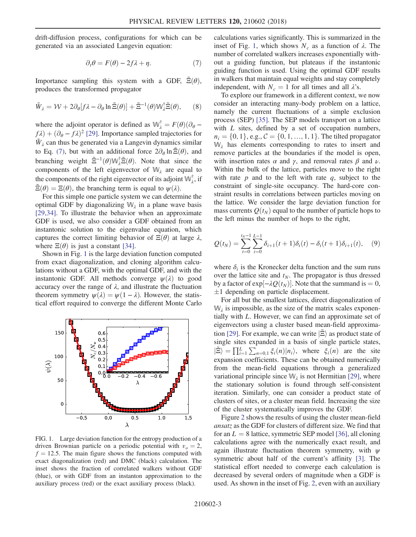<span id="page-2-0"></span>drift-diffusion process, configurations for which can be generated via an associated Langevin equation:

$$
\partial_t \theta = F(\theta) - 2f\lambda + \eta. \tag{7}
$$

Importance sampling this system with a GDF,  $\tilde{\Xi}(\theta)$ , produces the transformed propagator

$$
\tilde{W}_{\lambda} = \mathcal{W} + 2\partial_{\theta}[f\lambda - \partial_{\theta}\ln \tilde{\Xi}(\theta)] + \tilde{\Xi}^{-1}(\theta)\mathbb{W}_{\lambda}^{\dagger}\tilde{\Xi}(\theta), \qquad (8)
$$

where the adjoint operator is defined as  $\mathbb{W}_{\lambda}^{\dagger} = F(\theta)(\partial_{\theta} - f)$ <br>  $F(\lambda) + (\partial_{\theta} - f) \lambda^2$  [201] Importance sampled trajectories for  $f\lambda$ ) +  $(\partial_{\theta} - f\lambda)^2$  [\[29\].](#page-4-12) Importance sampled trajectories for  $\tilde{W}_\lambda$  can thus be generated via a Langevin dynamics similar to Eq. [\(7\)](#page-2-0), but with an additional force  $2\partial_{\theta} \ln \Xi(\theta)$ , and branching weight  $\tilde{\Xi}^{-1}(\theta) \mathbb{W}_{\lambda}^{\dagger} \tilde{\Xi}(\theta)$ . Note that since the components of the left eigenvector of W, are equal to components of the left eigenvector of  $W<sub>\lambda</sub>$  are equal to the components of the right eigenvector of its adjoint  $\mathbb{W}_{\lambda}^{\dagger}$ , if  $\Xi(\theta) = \Xi(\theta)$ , the branching term is equal to  $\psi(\lambda)$ .

For this simple one particle system we can determine the optimal GDF by diagonalizing  $W_{\lambda}$  in a plane wave basis [\[29,34\]](#page-4-12). To illustrate the behavior when an approximate GDF is used, we also consider a GDF obtained from an instantonic solution to the eigenvalue equation, which captures the correct limiting behavior of  $\Xi(\theta)$  at large  $\lambda$ , where  $\Xi(\theta)$  is just a constant [\[34\].](#page-4-17)

Shown in Fig. [1](#page-2-1) is the large deviation function computed from exact diagonalization, and cloning algorithm calculations without a GDF, with the optimal GDF, and with the instantonic GDF. All methods converge  $\psi(\lambda)$  to good accuracy over the range of  $\lambda$ , and illustrate the fluctuation theorem symmetry  $\psi(\lambda) = \psi(1 - \lambda)$ . However, the statistical effort required to converge the different Monte Carlo

<span id="page-2-1"></span>

FIG. 1. Large deviation function for the entropy production of a driven Brownian particle on a periodic potential with  $v<sub>o</sub> = 2$ ,  $f = 12.5$ . The main figure shows the functions computed with exact diagonalization (red) and DMC (black) calculation. The inset shows the fraction of correlated walkers without GDF (blue), or with GDF from an instanton approximation to the auxiliary process (red) or the exact auxiliary process (black).

calculations varies significantly. This is summarized in the inset of Fig. [1](#page-2-1), which shows  $N_c$  as a function of  $\lambda$ . The number of correlated walkers increases exponentially without a guiding function, but plateaus if the instantonic guiding function is used. Using the optimal GDF results in walkers that maintain equal weights and stay completely independent, with  $N_c = 1$  for all times and all  $\lambda$ 's.

To explore our framework in a different context, we now consider an interacting many-body problem on a lattice, namely the current fluctuations of a simple exclusion process (SEP) [\[35\]](#page-4-18). The SEP models transport on a lattice with L sites, defined by a set of occupation numbers,  $n_i = \{0, 1\}, e.g., C = \{0, 1, ..., 1, 1\}.$  The tilted propagator  $W_{\lambda}$  has elements corresponding to rates to insert and remove particles at the boundaries if the model is open, with insertion rates  $\alpha$  and  $\gamma$ , and removal rates  $\beta$  and  $\nu$ . Within the bulk of the lattice, particles move to the right with rate  $p$  and to the left with rate  $q$ , subject to the constraint of single-site occupancy. The hard-core constraint results in correlations between particles moving on the lattice. We consider the large deviation function for mass currents  $Q(t_N)$  equal to the number of particle hops to the left minus the number of hops to the right,

<span id="page-2-2"></span>
$$
Q(t_N) = \sum_{t=0}^{t_N - 1} \sum_{i=0}^{L-1} \delta_{i+1}(t+1)\delta_i(t) - \delta_i(t+1)\delta_{i+1}(t), \quad (9)
$$

where  $\delta_i$  is the Kronecker delta function and the sum runs over the lattice site and  $t_N$ . The propagator is thus dressed by a factor of  $exp[-\lambda Q(t_N)]$ . Note that the summand is = 0,<br>+1 depending on particle displacement  $\pm 1$  depending on particle displacement.

For all but the smallest lattices, direct diagonalization of  $W_{\lambda}$  is impossible, as the size of the matrix scales exponentially with L. However, we can find an approximate set of eigenvectors using a cluster based mean-field approxima-tion [\[29\].](#page-4-12) For example, we can write  $|\tilde{\Xi}\rangle$  as product state of single sites expanded in a basis of single particle states,  $|\tilde{\Xi}\rangle = \prod_{i=1}^{L} \sum_{n=0,1} \xi_i(n) |n_i\rangle$ , where  $\xi_i(n)$  are the site<br>expansion coefficients. These can be obtained numerically expansion coefficients. These can be obtained numerically from the mean-field equations through a generalized variational principle since  $W_{\lambda}$  is not Hermitian [\[29\]](#page-4-12), where the stationary solution is found through self-consistent iteration. Similarly, one can consider a product state of clusters of sites, or a cluster mean field. Increasing the size of the cluster systematically improves the GDF.

Figure [2](#page-3-0) shows the results of using the cluster mean-field ansatz as the GDF for clusters of different size. We find that for an  $L = 8$  lattice, symmetric SEP model [\[36\]](#page-4-19), all cloning calculations agree with the numerically exact result, and again illustrate fluctuation theorem symmetry, with  $\psi$ symmetric about half of the current's affinity [\[3\].](#page-4-13) The statistical effort needed to converge each calculation is decreased by several orders of magnitude when a GDF is used. As shown in the inset of Fig. [2](#page-3-0), even with an auxiliary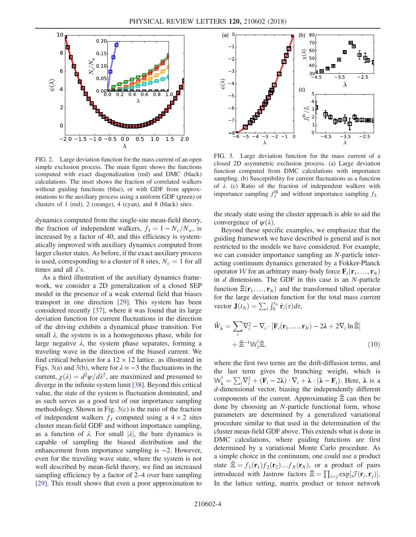<span id="page-3-0"></span>

FIG. 2. Large deviation function for the mass current of an open simple exclusion process. The main figure shows the functions computed with exact diagonalization (red) and DMC (black) calculations. The inset shows the fraction of correlated walkers without guiding functions (blue), or with GDF from approximations to the auxiliary process using a uniform GDF (green) or clusters of 1 (red), 2 (orange), 4 (cyan), and 8 (black) sites.

dynamics computed from the single-site mean-field theory, the fraction of independent walkers,  $f_1 = 1 - N_c/N_w$ , is increased by a factor of 40, and this efficiency is systematically improved with auxiliary dynamics computed from larger cluster states. As before, if the exact auxiliary process is used, corresponding to a cluster of 8 sites,  $N_c = 1$  for all times and all  $\lambda$ 's.

As a third illustration of the auxiliary dynamics framework, we consider a 2D generalization of a closed SEP model in the presence of a weak external field that biases transport in one direction [\[29\].](#page-4-12) This system has been considered recently [\[37\]](#page-4-20), where it was found that its large deviation function for current fluctuations in the direction of the driving exhibits a dynamical phase transition. For small  $\lambda$ , the system is in a homogeneous phase, while for large negative  $\lambda$ , the system phase separates, forming a traveling wave in the direction of the biased current. We find critical behavior for a  $12 \times 12$  lattice. as illustrated in Figs. [3\(a\)](#page-3-1) and [3\(b\),](#page-3-1) where for  $\lambda \approx -3$  the fluctuations in the current,  $\chi(\lambda) = d^2\psi/d\lambda^2$ , are maximized and presumed to diverge in the infinite system limit [\[38\].](#page-4-21) Beyond this critical value, the state of the system is fluctuation dominated, and as such serves as a good test of our importance sampling methodology. Shown in Fig. [3\(c\)](#page-3-1) is the ratio of the fraction of independent walkers  $f_I$  computed using a  $4 \times 2$  sites cluster mean-field GDF and without importance sampling, as a function of  $\lambda$ . For small  $|\lambda|$ , the bare dynamics is capable of sampling the biased distribution and the enhancement from importance sampling is ∼2. However, even for the traveling wave state, where the system is not well described by mean-field theory, we find an increased sampling efficiency by a factor of 2–4 over bare sampling [\[29\]](#page-4-12). This result shows that even a poor approximation to

<span id="page-3-1"></span>

FIG. 3. Large deviation function for the mass current of a closed 2D asymmetric exclusion process. (a) Large deviation function computed from DMC calculations with importance sampling. (b) Susceptibility for current fluctuations as a function of λ. (c) Ratio of the fraction of independent walkers with importance sampling  $f_I^{IS}$  and without importance sampling  $f_I$ .

the steady state using the cluster approach is able to aid the convergence of  $\psi(\lambda)$ .

Beyond these specific examples, we emphasize that the guiding framework we have described is general and is not restricted to the models we have considered. For example, we can consider importance sampling an N-particle interacting continuum dynamics generated by a Fokker-Planck operator W for an arbitrary many-body force  $\mathbf{F}_i(\mathbf{r}_1, \dots, \mathbf{r}_N)$ in  $d$  dimensions. The GDF in this case is an  $N$ -particle function  $\tilde{\Xi}(\mathbf{r}_1, ..., \mathbf{r}_N)$  and the transformed tilted operator for the large deviation function for the total mass current vector  $\mathbf{J}(t_N) = \sum_i \int_0^{t_N} \dot{\mathbf{r}}_i(\tau) d\tau$ ,

$$
\tilde{W}_{\lambda} = \sum_{i} \nabla_{i}^{2} - \nabla_{i} \cdot [\mathbf{F}_{i}(\mathbf{r}_{1}, ..., \mathbf{r}_{N}) - 2\lambda + 2\nabla_{i} \ln \tilde{\Xi}] + \tilde{\Xi}^{-1} \mathbb{W}_{\lambda}^{\dagger} \tilde{\Xi},
$$
\n(10)

where the first two terms are the drift-diffusion terms, and the last term gives the branching weight, which is  $\mathbb{W}_{\lambda}^{\dagger} = \sum_{i} \nabla_{i}^{2} + (\mathbf{F}_{i} - 2\lambda) \cdot \nabla_{i} + \lambda \cdot (\lambda - \mathbf{F}_{i}).$  Here,  $\lambda$  is a d-dimensional vector, biasing the independently different d-dimensional vector, biasing the independently different components of the current. Approximating  $\tilde{\Xi}$  can then be done by choosing an N-particle functional form, whose parameters are determined by a generalized variational procedure similar to that used in the determination of the cluster mean-field GDF above. This extends what is done in DMC calculations, where guiding functions are first determined by a variational Monte Carlo procedure. As a simple choice in the continuum, one could use a product state  $\tilde{\Xi} = f_1(\mathbf{r}_1)f_2(\mathbf{r}_2)...f_N(\mathbf{r}_N)$ , or a product of pairs introduced with Jastrow factors  $\tilde{\Xi} = \prod_{i < j} \exp[\mathcal{J}(\mathbf{r}_i, \mathbf{r}_j)].$ In the lattice setting, matrix product or tensor network